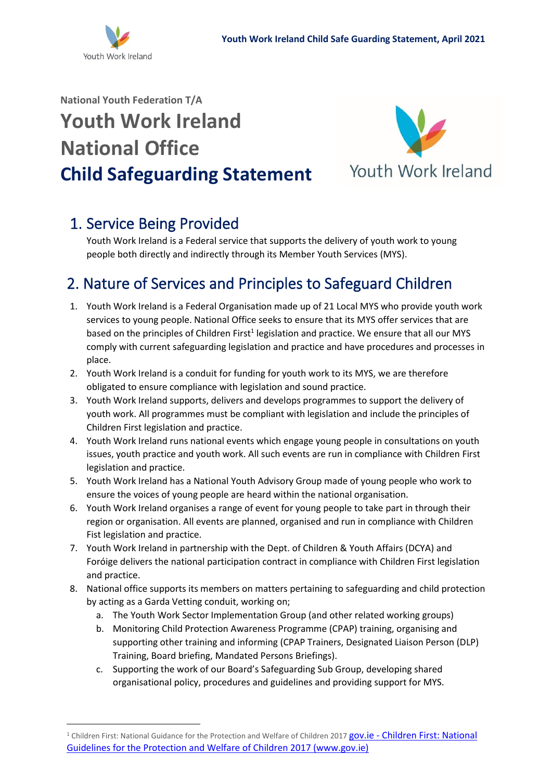

# **National Youth Federation T/A Youth Work Ireland National Office Child Safeguarding Statement**



# 1. Service Being Provided

Youth Work Ireland is a Federal service that supports the delivery of youth work to young people both directly and indirectly through its Member Youth Services (MYS).

#### 2. Nature of Services and Principles to Safeguard Children

- 1. Youth Work Ireland is a Federal Organisation made up of 21 Local MYS who provide youth work services to young people. National Office seeks to ensure that its MYS offer services that are based on the principles of Children First<sup>1</sup> legislation and practice. We ensure that all our MYS comply with current safeguarding legislation and practice and have procedures and processes in place.
- 2. Youth Work Ireland is a conduit for funding for youth work to its MYS, we are therefore obligated to ensure compliance with legislation and sound practice.
- 3. Youth Work Ireland supports, delivers and develops programmes to support the delivery of youth work. All programmes must be compliant with legislation and include the principles of Children First legislation and practice.
- 4. Youth Work Ireland runs national events which engage young people in consultations on youth issues, youth practice and youth work. All such events are run in compliance with Children First legislation and practice.
- 5. Youth Work Ireland has a National Youth Advisory Group made of young people who work to ensure the voices of young people are heard within the national organisation.
- 6. Youth Work Ireland organises a range of event for young people to take part in through their region or organisation. All events are planned, organised and run in compliance with Children Fist legislation and practice.
- 7. Youth Work Ireland in partnership with the Dept. of Children & Youth Affairs (DCYA) and Foróige delivers the national participation contract in compliance with Children First legislation and practice.
- 8. National office supports its members on matters pertaining to safeguarding and child protection by acting as a Garda Vetting conduit, working on;
	- a. The Youth Work Sector Implementation Group (and other related working groups)
	- b. Monitoring Child Protection Awareness Programme (CPAP) training, organising and supporting other training and informing (CPAP Trainers, Designated Liaison Person (DLP) Training, Board briefing, Mandated Persons Briefings).
	- c. Supporting the work of our Board's Safeguarding Sub Group, developing shared organisational policy, procedures and guidelines and providing support for MYS.

<sup>&</sup>lt;sup>1</sup> [Children First: National](https://www.gov.ie/en/publication/114c50-children-first-national-guidelines-for-the-protection-and-welfare-of/) Guidance for the Protection and Welfare of Children 2017 gov.ie - Children First: National [Guidelines for the Protection and Welfare of Children 2017 \(www.gov.ie\)](https://www.gov.ie/en/publication/114c50-children-first-national-guidelines-for-the-protection-and-welfare-of/)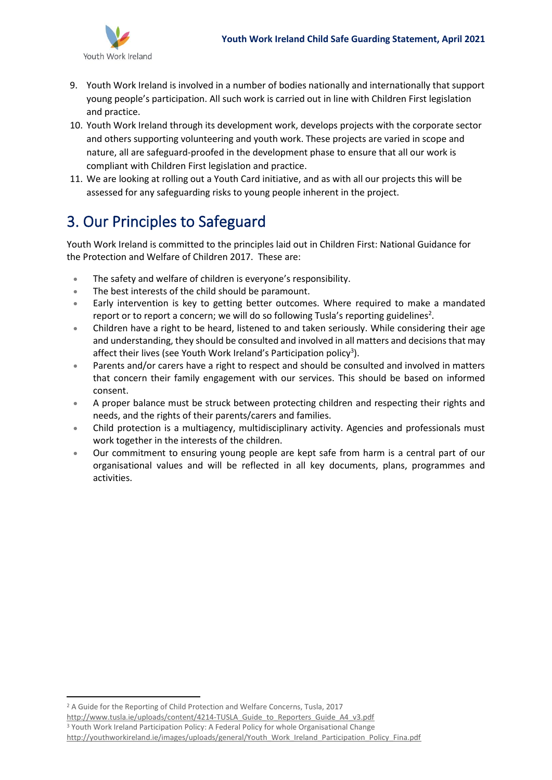

- 9. Youth Work Ireland is involved in a number of bodies nationally and internationally that support young people's participation. All such work is carried out in line with Children First legislation and practice.
- 10. Youth Work Ireland through its development work, develops projects with the corporate sector and others supporting volunteering and youth work. These projects are varied in scope and nature, all are safeguard-proofed in the development phase to ensure that all our work is compliant with Children First legislation and practice.
- 11. We are looking at rolling out a Youth Card initiative, and as with all our projects this will be assessed for any safeguarding risks to young people inherent in the project.

### 3. Our Principles to Safeguard

Youth Work Ireland is committed to the principles laid out in Children First: National Guidance for the Protection and Welfare of Children 2017. These are:

- The safety and welfare of children is everyone's responsibility.
- The best interests of the child should be paramount.
- Early intervention is key to getting better outcomes. Where required to make a mandated report or to report a concern; we will do so following Tusla's reporting guidelines<sup>2</sup>.
- Children have a right to be heard, listened to and taken seriously. While considering their age and understanding, they should be consulted and involved in all matters and decisions that may affect their lives (see Youth Work Ireland's Participation policy<sup>3</sup>).
- Parents and/or carers have a right to respect and should be consulted and involved in matters that concern their family engagement with our services. This should be based on informed consent.
- A proper balance must be struck between protecting children and respecting their rights and needs, and the rights of their parents/carers and families.
- Child protection is a multiagency, multidisciplinary activity. Agencies and professionals must work together in the interests of the children.
- Our commitment to ensuring young people are kept safe from harm is a central part of our organisational values and will be reflected in all key documents, plans, programmes and activities.

<sup>&</sup>lt;sup>2</sup> A Guide for the Reporting of Child Protection and Welfare Concerns, Tusla, 2017

[http://www.tusla.ie/uploads/content/4214-TUSLA\\_Guide\\_to\\_Reporters\\_Guide\\_A4\\_v3.pdf](http://www.tusla.ie/uploads/content/4214-TUSLA_Guide_to_Reporters_Guide_A4_v3.pdf)

<sup>3</sup> Youth Work Ireland Participation Policy: A Federal Policy for whole Organisational Change [http://youthworkireland.ie/images/uploads/general/Youth\\_Work\\_Ireland\\_Participation\\_Policy\\_Fina.pdf](http://youthworkireland.ie/images/uploads/general/Youth_Work_Ireland_Participation_Policy_Fina.pdf)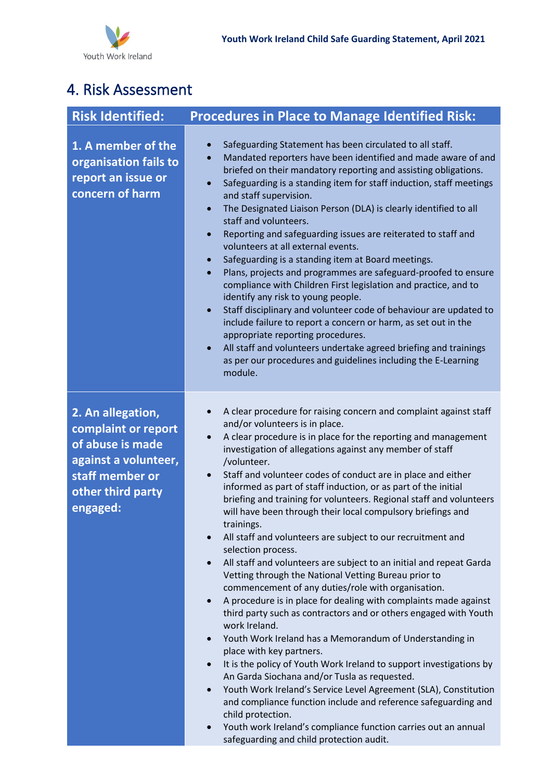## 4. Risk Assessment

| <b>Risk Identified:</b>                                                                                                                  | <b>Procedures in Place to Manage Identified Risk:</b>                                                                                                                                                                                                                                                                                                                                                                                                                                                                                                                                                                                                                                                                                                                                                                                                                                                                                                                                                                                                                                                                                                                                                                                                                                                                                                                                                                                                                                                                                                                    |
|------------------------------------------------------------------------------------------------------------------------------------------|--------------------------------------------------------------------------------------------------------------------------------------------------------------------------------------------------------------------------------------------------------------------------------------------------------------------------------------------------------------------------------------------------------------------------------------------------------------------------------------------------------------------------------------------------------------------------------------------------------------------------------------------------------------------------------------------------------------------------------------------------------------------------------------------------------------------------------------------------------------------------------------------------------------------------------------------------------------------------------------------------------------------------------------------------------------------------------------------------------------------------------------------------------------------------------------------------------------------------------------------------------------------------------------------------------------------------------------------------------------------------------------------------------------------------------------------------------------------------------------------------------------------------------------------------------------------------|
| 1. A member of the<br>organisation fails to<br>report an issue or<br>concern of harm                                                     | Safeguarding Statement has been circulated to all staff.<br>Mandated reporters have been identified and made aware of and<br>$\bullet$<br>briefed on their mandatory reporting and assisting obligations.<br>Safeguarding is a standing item for staff induction, staff meetings<br>$\bullet$<br>and staff supervision.<br>The Designated Liaison Person (DLA) is clearly identified to all<br>$\bullet$<br>staff and volunteers.<br>Reporting and safeguarding issues are reiterated to staff and<br>$\bullet$<br>volunteers at all external events.<br>Safeguarding is a standing item at Board meetings.<br>$\bullet$<br>Plans, projects and programmes are safeguard-proofed to ensure<br>$\bullet$<br>compliance with Children First legislation and practice, and to<br>identify any risk to young people.<br>Staff disciplinary and volunteer code of behaviour are updated to<br>$\bullet$<br>include failure to report a concern or harm, as set out in the<br>appropriate reporting procedures.<br>All staff and volunteers undertake agreed briefing and trainings<br>as per our procedures and guidelines including the E-Learning<br>module.                                                                                                                                                                                                                                                                                                                                                                                                                |
| 2. An allegation,<br>complaint or report<br>of abuse is made<br>against a volunteer,<br>staff member or<br>other third party<br>engaged: | A clear procedure for raising concern and complaint against staff<br>$\bullet$<br>and/or volunteers is in place.<br>A clear procedure is in place for the reporting and management<br>investigation of allegations against any member of staff<br>/volunteer.<br>Staff and volunteer codes of conduct are in place and either<br>$\bullet$<br>informed as part of staff induction, or as part of the initial<br>briefing and training for volunteers. Regional staff and volunteers<br>will have been through their local compulsory briefings and<br>trainings.<br>All staff and volunteers are subject to our recruitment and<br>selection process.<br>All staff and volunteers are subject to an initial and repeat Garda<br>$\bullet$<br>Vetting through the National Vetting Bureau prior to<br>commencement of any duties/role with organisation.<br>A procedure is in place for dealing with complaints made against<br>$\bullet$<br>third party such as contractors and or others engaged with Youth<br>work Ireland.<br>Youth Work Ireland has a Memorandum of Understanding in<br>$\bullet$<br>place with key partners.<br>It is the policy of Youth Work Ireland to support investigations by<br>$\bullet$<br>An Garda Siochana and/or Tusla as requested.<br>Youth Work Ireland's Service Level Agreement (SLA), Constitution<br>$\bullet$<br>and compliance function include and reference safeguarding and<br>child protection.<br>Youth work Ireland's compliance function carries out an annual<br>$\bullet$<br>safeguarding and child protection audit. |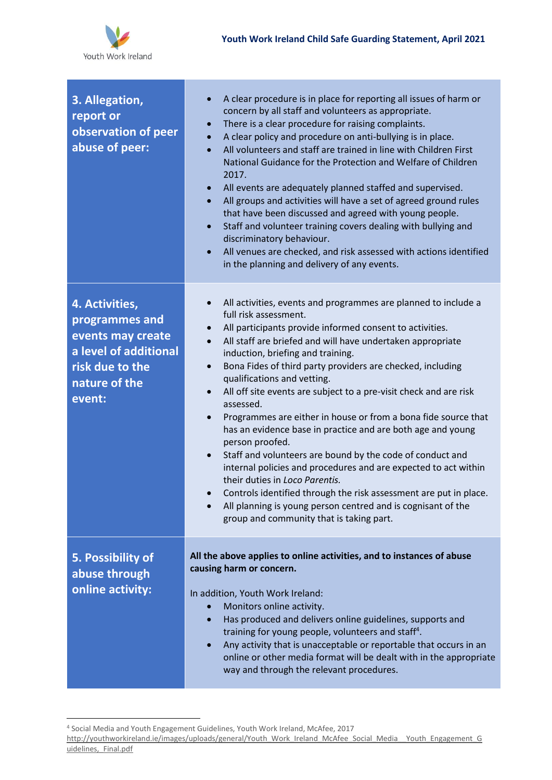

| 3. Allegation,<br>report or<br>observation of peer<br>abuse of peer:                                                         | A clear procedure is in place for reporting all issues of harm or<br>$\bullet$<br>concern by all staff and volunteers as appropriate.<br>There is a clear procedure for raising complaints.<br>$\bullet$<br>A clear policy and procedure on anti-bullying is in place.<br>$\bullet$<br>All volunteers and staff are trained in line with Children First<br>$\bullet$<br>National Guidance for the Protection and Welfare of Children<br>2017.<br>All events are adequately planned staffed and supervised.<br>$\bullet$<br>All groups and activities will have a set of agreed ground rules<br>$\bullet$<br>that have been discussed and agreed with young people.<br>Staff and volunteer training covers dealing with bullying and<br>$\bullet$<br>discriminatory behaviour.<br>All venues are checked, and risk assessed with actions identified<br>$\bullet$<br>in the planning and delivery of any events.                                                                                                                                       |
|------------------------------------------------------------------------------------------------------------------------------|------------------------------------------------------------------------------------------------------------------------------------------------------------------------------------------------------------------------------------------------------------------------------------------------------------------------------------------------------------------------------------------------------------------------------------------------------------------------------------------------------------------------------------------------------------------------------------------------------------------------------------------------------------------------------------------------------------------------------------------------------------------------------------------------------------------------------------------------------------------------------------------------------------------------------------------------------------------------------------------------------------------------------------------------------|
| 4. Activities,<br>programmes and<br>events may create<br>a level of additional<br>risk due to the<br>nature of the<br>event: | All activities, events and programmes are planned to include a<br>$\bullet$<br>full risk assessment.<br>All participants provide informed consent to activities.<br>$\bullet$<br>All staff are briefed and will have undertaken appropriate<br>$\bullet$<br>induction, briefing and training.<br>Bona Fides of third party providers are checked, including<br>$\bullet$<br>qualifications and vetting.<br>All off site events are subject to a pre-visit check and are risk<br>$\bullet$<br>assessed.<br>Programmes are either in house or from a bona fide source that<br>$\bullet$<br>has an evidence base in practice and are both age and young<br>person proofed.<br>Staff and volunteers are bound by the code of conduct and<br>$\bullet$<br>internal policies and procedures and are expected to act within<br>their duties in Loco Parentis.<br>Controls identified through the risk assessment are put in place.<br>$\bullet$<br>All planning is young person centred and is cognisant of the<br>group and community that is taking part. |
| 5. Possibility of<br>abuse through<br>online activity:                                                                       | All the above applies to online activities, and to instances of abuse<br>causing harm or concern.<br>In addition, Youth Work Ireland:<br>Monitors online activity.<br>Has produced and delivers online guidelines, supports and<br>$\bullet$<br>training for young people, volunteers and staff <sup>4</sup> .<br>Any activity that is unacceptable or reportable that occurs in an<br>$\bullet$<br>online or other media format will be dealt with in the appropriate<br>way and through the relevant procedures.                                                                                                                                                                                                                                                                                                                                                                                                                                                                                                                                   |

<sup>4</sup> Social Media and Youth Engagement Guidelines, Youth Work Ireland, McAfee, 2017

[http://youthworkireland.ie/images/uploads/general/Youth\\_Work\\_Ireland\\_McAfee\\_Social\\_Media\\_\\_Youth\\_Engagement\\_G](http://youthworkireland.ie/images/uploads/general/Youth_Work_Ireland_McAfee_Social_Media__Youth_Engagement_Guidelines,_Final.pdf) uidelines, Final.pdf